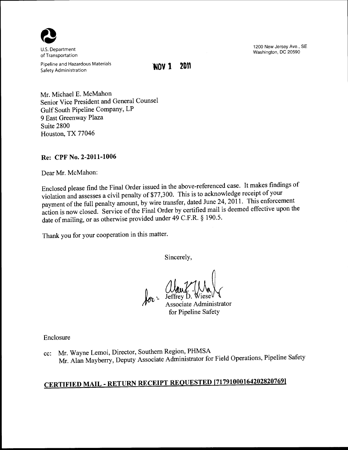

U.S. Department of Transportation

Pipeline and Hazardous Materials Safety Administration

**'NOV 1 2011** 

1200 New Jersey Ave., SE Washington, DC 20590

Mr. Michael E. McMahon Senior Vice President and General Counsel Gulf South Pipeline Company, LP 9 East Greenway Plaza Suite 2800 Houston, TX 77046

# **Re: CPF** No. **2-2011-1006**

Dear Mr. McMahon:

Enclosed please find the Final Order issued in the above-referenced case. It makes findings of violation and assesses a civil penalty of \$77,300. This is to acknowledge receipt of your payment of the full penalty amount, by wire transfer, dated June 24, 2011. This enforcement action is now closed. Service of the Final Order by certified mail is deemed effective upon the date of mailing, or as otherwise provided under 49 C.F.R. § 190.5.

Thank you for your cooperation in this matter.

Sincerely,

for Little L. Mall for Pipeline Safety

Enclosure

cc: Mr. Wayne Lemoi, Director, Southern Region, PHMSA Mr. Alan Mayberry, Deputy Associate Administrator for Field Operations, Pipeline Safety

# **CERTIFIED MAIL- RETURN RECEIPT REQUESTED [71791000164202820769)**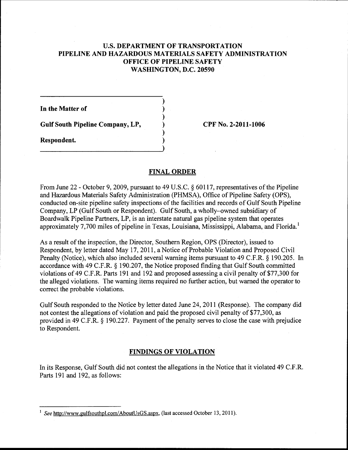# U.S. **DEPARTMENT OF TRANSPORTATION PIPELINE AND HAZARDOUS MATERIALS SAFETY ADMINISTRATION OFFICE OF PIPELINE SAFETY WASHINGTON, D.C. 20590**

) ) ) ) ) )

**In the Matter of** 

**Gulf South Pipeline Company, LP,** 

**Respondent.** 

**CPF No. 2-2011-1006** 

#### **FINAL ORDER**

From June 22- October 9, 2009, pursuant to 49 U.S.C. § 60117, representatives of the Pipeline and Hazardous Materials Safety Administration (PHMSA), Office of Pipeline Safety (OPS), conducted on-site pipeline safety inspections of the facilities and records of Gulf South Pipeline Company, LP (Gulf South or Respondent). Gulf South, a wholly-owned subsidiary of Boardwalk Pipeline Partners, LP, is an interstate natural gas pipeline system that operates approximately 7,700 miles of pipeline in Texas, Louisiana, Mississippi, Alabama, and Florida.<sup>1</sup>

As a result of the inspection, the Director, Southern Region, OPS (Director), issued to Respondent, by letter dated May 17, 2011, a Notice of Probable Violation and Proposed Civil Penalty (Notice), which also included several warning items pursuant to 49 C.F.R. § 190.205. In accordance with 49 C.F.R. § 190.207, the Notice proposed finding that Gulf South committed violations of 49 C.F.R. Parts 191 and 192 and proposed assessing a civil penalty of \$77,300 for the alleged violations. The warning items required no further action, but warned the operator to correct the probable violations.

Gulf South responded to the Notice by letter dated June 24, 2011 (Response). The company did not contest the allegations of violation and paid the proposed civil penalty of \$77,300, as provided in 49 C.F.R. § 190.227. Payment of the penalty serves to close the case with prejudice to Respondent.

## **FINDINGS OF VIOLATION**

In its Response, Gulf South did not contest the allegations in the Notice that it violated 49 C.F.R. Parts 191 and 192, as follows:

<sup>1</sup>*See* http://www.gulfsouthpl.com/AboutUsGS.aspx, (last accessed October 13, 2011).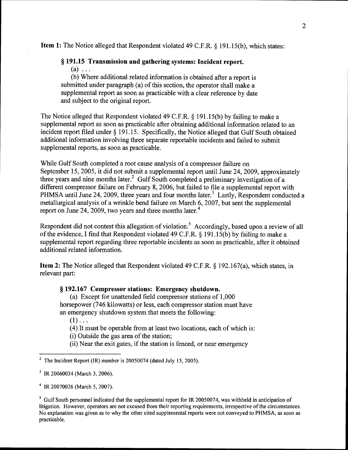Item 1: The Notice alleged that Respondent violated 49 C.F.R. § 191.15(b), which states:

# § 191.15 Transmission and gathering systems: Incident report.

 $(a)$  ...

(b) Where additional related information is obtained after a report is submitted under paragraph (a) of this section, the operator shall make a supplemental report as soon as practicable with a clear reference by date and subject to the original report.

The Notice alleged that Respondent violated 49 C.F.R. § 191.15(b) by failing to make a supplemental report as soon as practicable after obtaining additional information related to an incident report filed under § 191.15. Specifically, the Notice alleged that Gulf South obtained additional information involving three separate reportable incidents and failed to submit supplemental reports, as soon as practicable.

While Gulf South completed a root cause analysis of a compressor failure on September 15, 2005, it did not submit a supplemental report until June 24, 2009, approximately three years and nine months later.<sup>2</sup> Gulf South completed a preliminary investigation of a different compressor failure on February 8, 2006, but failed to file a supplemental report with PHMSA until June 24, 2009, three years and four months later.<sup>3</sup> Lastly, Respondent conducted a metallurgical analysis of a wrinkle bend failure on March 6, 2007, but sent the supplemental report on June 24, 2009, two years and three months later.<sup>4</sup>

Respondent did not contest this allegation of violation.<sup>5</sup> Accordingly, based upon a review of all of the evidence, I find that Respondent violated 49 C.F.R.  $\S$  191.15(b) by failing to make a supplemental report regarding three reportable incidents as soon as practicable, after it obtained additional related information.

Item 2: The Notice alleged that Respondent violated 49 C.F.R. § 192.167(a), which states, in relevant part:

# § 192.167 Compressor stations: Emergency shutdown.

(a) Except for unattended field compressor stations of 1,000 horsepower (746 kilowatts) or less, each compressor station must have an emergency shutdown system that meets the following:

 $(1)$ ...

(4) It must be operable from at least two locations, each of which is:

(i) Outside the gas area of the station;

(ii) Near the exit gates, if the station is fenced, or near emergency

<sup>2</sup> The Incident Report (IR) number is 20050074 (dated July 15, 2005).

3 IR 20060034 (March 3, 2006).

4 IR 20070026 (March 5, 2007).

<sup>5</sup> Gulf South personnel indicated that the supplemental report for IR 20050074, was withheld in anticipation of litigation. However, operators are not excused from their reporting requirements, irrespective of the circumstances. No explanation was given as to why the other cited supplemental reports were not conveyed to PHMSA, as soon as practicable.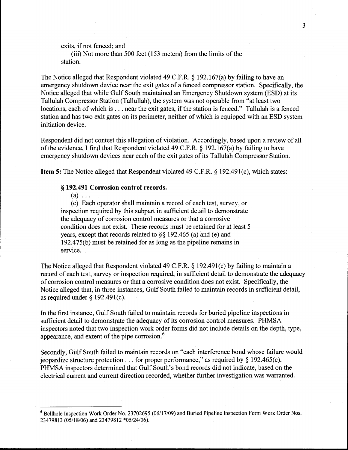exits, if not fenced; and

(iii) Not more than 500 feet (153 meters) from the limits of the station.

The Notice alleged that Respondent violated 49 C.F.R. § 192.167(a) by failing to have an emergency shutdown device near the exit gates of a fenced compressor station. Specifically, the Notice alleged that while Gulf South maintained an Emergency Shutdown system (ESD) at its Tallulah Compressor Station (Tallullah), the system was not operable from "at least two locations, each of which is ... near the exit gates, if the station is fenced." Tallulah is a fenced station and has two exit gates on its perimeter, neither of which is equipped with an ESD system initiation device.

Respondent did not contest this allegation of violation. Accordingly, based upon a review of all of the evidence, I find that Respondent violated 49 C.F.R.  $\S$  192.167(a) by failing to have emergency shutdown devices near each of the exit gates of its Tallulah Compressor Station.

**Item 5:** The Notice alleged that Respondent violated 49 C.F.R. § 192.491(c), which states:

## § **192.491 Corrosion control records.**

 $(a) \ldots$ 

(c) Each operator shall maintain a record of each test, survey, or inspection required by this subpart in sufficient detail to demonstrate the adequacy of corrosion control measures or that a corrosive condition does not exist. These records must be retained for at least 5 years, except that records related to§§ 192.465 (a) and (e) and 192.475(b) must be retained for as long as the pipeline remains in service.

The Notice alleged that Respondent violated 49 C.F.R. § 192.491(c) by failing to maintain a record of each test, survey or inspection required, in sufficient detail to demonstrate the adequacy of corrosion control measures or that a corrosive condition does not exist. Specifically, the Notice alleged that, in three instances, Gulf South failed to maintain records in sufficient detail, as required under  $\S$  192.491(c).

In the first instance, Gulf South failed to maintain records for buried pipeline inspections in sufficient detail to demonstrate the adequacy of its corrosion control measures. PHMSA inspectors noted that two inspection work order forms did not include details on the depth, type, appearance, and extent of the pipe corrosion. 6

Secondly, Gulf South failed to maintain records on "each interference bond whose failure would jeopardize structure protection . . . for proper performance," as required by  $\S$  192.465(c). PHMSA inspectors determined that Gulf South's bond records did not indicate, based on the electrical current and current direction recorded, whether further investigation was warranted.

6 Bellhole Inspection Work Order No. 23702695 (06117/09) and Buried Pipeline Inspection Form Work Order Nos. 23479813 (05/18/06) and 23479812 \*05/24/06).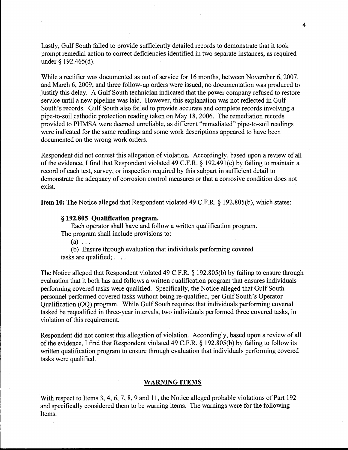Lastly, Gulf South failed to provide sufficiently detailed records to demonstrate that it took prompt remedial action to correct deficiencies identified in two separate instances, as required under  $\S$  192.465(d).

While a rectifier was documented as out of service for 16 months, between November 6, 2007, and March 6, 2009, and three follow-up orders were issued, no documentation was produced to justify this delay. A Gulf South technician indicated that the power company refused to restore service until a new pipeline was laid. However, this explanation was not reflected in Gulf South's records. Gulf South also failed to provide accurate and complete records involving a pipe-to-soil cathodic protection reading taken on May 18, 2006. The remediation records provided to PHMSA were deemed unreliable, as different "remediated" pipe-to-soil readings were indicated for the same readings and some work descriptions appeared to have been documented on the wrong work orders.

Respondent did not contest this allegation of violation. Accordingly, based upon a review of all of the evidence, I find that Respondent violated 49 C.F.R. § 192.491(c) by failing to maintain a record of each test, survey, or inspection required by this subpart in sufficient detail to demonstrate the adequacy of corrosion control measures or that a corrosive condition does not exist.

Item 10: The Notice alleged that Respondent violated 49 C.F.R. § 192.805(b), which states:

#### § 192.805 Qualification program.

Each operator shall have and follow a written qualification program. The program shall include provisions to:

 $(a) \ldots$ 

(b) Ensure through evaluation that individuals performing covered tasks are qualified; ....

The Notice alleged that Respondent violated 49 C.F.R. § 192.805(b) by failing to ensure through evaluation that it both has and follows a written qualification program that ensures individuals performing covered tasks were qualified. Specifically, the Notice alleged that Gulf South personnel performed covered tasks without being re-qualified, per Gulf South's Operator Qualification (OQ) program. While Gulf South requires that individuals performing covered tasked be requalified in three-year intervals, two individuals performed three covered tasks, in violation of this requirement.

Respondent did not contest this allegation of violation. Accordingly, based upon a review of all of the evidence, I find that Respondent violated 49 C.F.R.  $\S$  192.805(b) by failing to follow its written qualification program to ensure through evaluation that individuals performing covered tasks were qualified.

#### WARNING ITEMS

With respect to Items 3, 4, 6, 7, 8, 9 and 11, the Notice alleged probable violations of Part 192 and specifically considered them to be warning items. The warnings were for the following Items.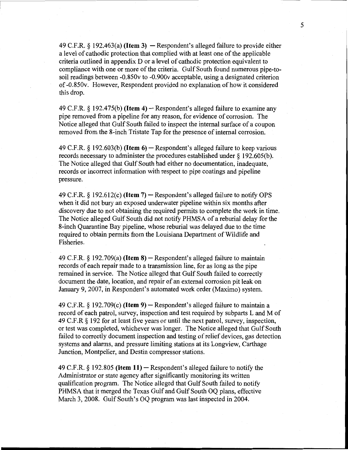49 C.F.R.  $\S$  192.463(a) **(Item 3)**  $-$  Respondent's alleged failure to provide either a level of cathodic protection that complied with at least one of the applicable criteria outlined in appendix D or a level of cathodic protection equivalent to compliance with one or more of the criteria. Gulf South found numerous pipe-tosoil readings between -0.850v to -0.900v acceptable, using a designated criterion of -0.850v. However, Respondent provided no explanation of how it considered this drop.

49 C.F.R. § 192.475(b) **(Item 4)-** Respondent's alleged failure to examine any pipe removed from a pipeline for any reason, for evidence of corrosion. The Notice alleged that Gulf South failed to inspect the internal surface of a coupon removed from the 8-inch Tristate Tap for the presence of internal corrosion.

49 C.F.R. § 192.603(b) **(Item 6)-** Respondent's alleged failure to keep various records necessary to administer the procedures established under  $\S$  192.605(b). The Notice alleged that Gulf South had either no documentation, inadequate, records or incorrect information with respect to pipe coatings and pipeline pressure.

49 C.F.R. § 192.612(c) **(Item 7)-** Respondent's alleged failure to notify OPS when it did not bury an exposed underwater pipeline within six months after discovery due to not obtaining the required permits to complete the work in time. The Notice alleged Gulf South did not notify PHMSA of a reburial delay for the 8-inch Quarantine Bay pipeline, whose reburial was delayed due to the time required to obtain permits from the Louisiana Department of Wildlife and Fisheries.

49 C.F.R. § 192.709(a) **(Item 8)-** Respondent's alleged failure to maintain records of each repair made to a transmission line, for as long as the pipe remained in service. The Notice alleged that Gulf South failed to correctly document the date, location, and repair of an external corrosion pit leak on January 9, 2007, in Respondent's automated work order (Maximo) system.

49 C.F.R. § 192.709(c) **(Item 9)-** Respondent's alleged failure to maintain a record of each patrol, survey, inspection and test required by subparts Land M of 49 C.F.R § 192 for at least five years or until the next patrol, survey, inspection, or test was completed, whichever was longer. The Notice alleged that Gulf South failed to correctly document inspection and testing of relief devices, gas detection systems and alarms, and pressure limiting stations at its Longview, Carthage Junction, Montpelier, and Destin compressor stations.

49 C.F.R. § 192.805 **(Item 11)-** Respondent's alleged failure to notify the Administrator or state agency after significantly monitoring its written qualification program. The Notice alleged that Gulf South failed to notify PHMSA that it merged the Texas Gulf and Gulf South OQ plans, effective March 3, 2008. Gulf South's OQ program was last inspected in 2004.